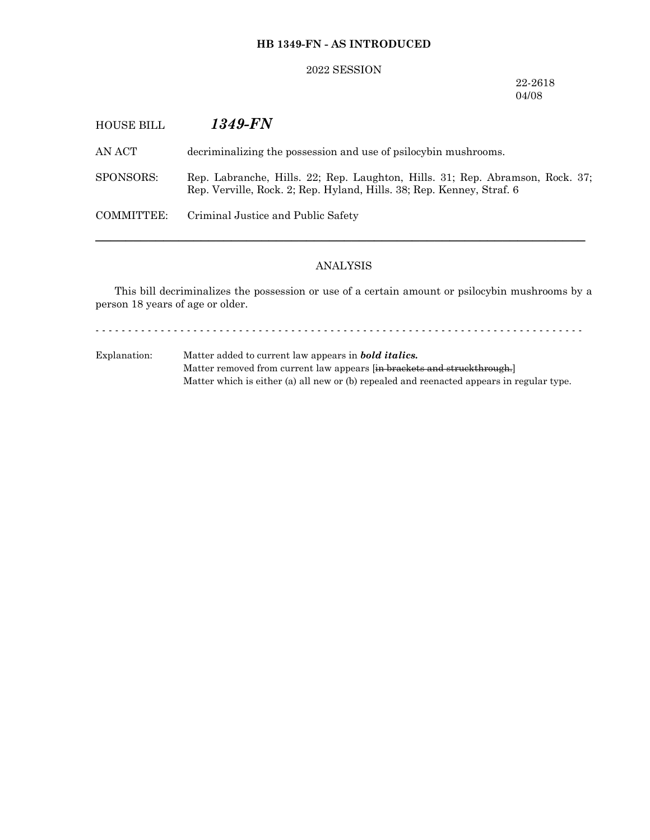## **HB 1349-FN - AS INTRODUCED**

#### 2022 SESSION

## 22-2618 04/08

| <b>HOUSE BILL</b> | 1349-FN                                                                                                                                                |
|-------------------|--------------------------------------------------------------------------------------------------------------------------------------------------------|
| AN ACT            | decriminalizing the possession and use of psilocybin mushrooms.                                                                                        |
| SPONSORS:         | Rep. Labranche, Hills. 22; Rep. Laughton, Hills. 31; Rep. Abramson, Rock. 37;<br>Rep. Verville, Rock. 2; Rep. Hyland, Hills. 38; Rep. Kenney, Straf. 6 |
| COMMITTEE:        | Criminal Justice and Public Safety                                                                                                                     |
|                   |                                                                                                                                                        |

## ANALYSIS

This bill decriminalizes the possession or use of a certain amount or psilocybin mushrooms by a person 18 years of age or older.

- - - - - - - - - - - - - - - - - - - - - - - - - - - - - - - - - - - - - - - - - - - - - - - - - - - - - - - - - - - - - - - - - - - - - - - - - - -

Explanation: Matter added to current law appears in *bold italics.* Matter removed from current law appears [in brackets and struckthrough.] Matter which is either (a) all new or (b) repealed and reenacted appears in regular type.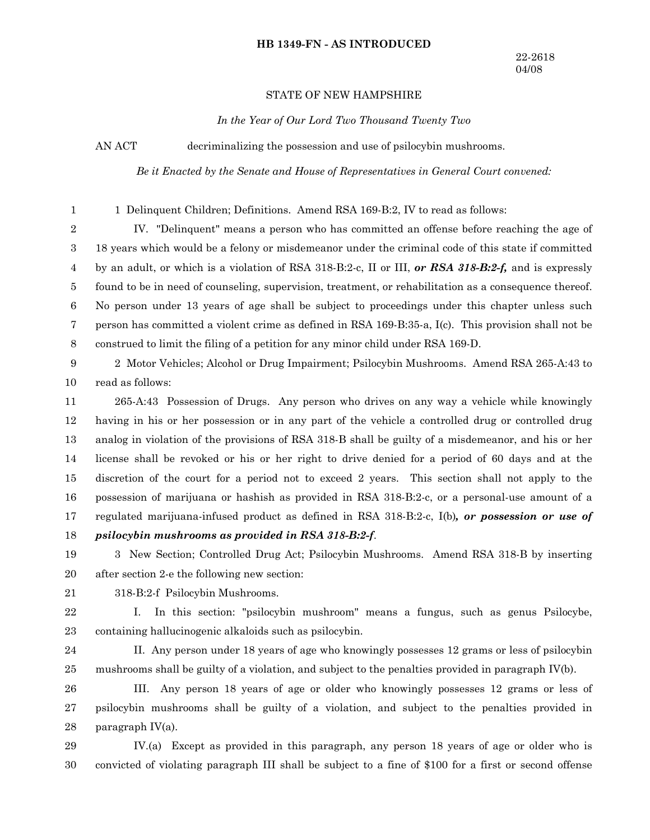#### **HB 1349-FN - AS INTRODUCED**

#### STATE OF NEW HAMPSHIRE

#### *In the Year of Our Lord Two Thousand Twenty Two*

1

AN ACT decriminalizing the possession and use of psilocybin mushrooms.

*Be it Enacted by the Senate and House of Representatives in General Court convened:*

1 Delinquent Children; Definitions. Amend RSA 169-B:2, IV to read as follows:

IV. "Delinquent" means a person who has committed an offense before reaching the age of 18 years which would be a felony or misdemeanor under the criminal code of this state if committed by an adult, or which is a violation of RSA 318-B:2-c, II or III, *or RSA 318-B:2-f,* and is expressly found to be in need of counseling, supervision, treatment, or rehabilitation as a consequence thereof. No person under 13 years of age shall be subject to proceedings under this chapter unless such person has committed a violent crime as defined in RSA 169-B:35-a, I(c). This provision shall not be construed to limit the filing of a petition for any minor child under RSA 169-D. 2 3 4 5 6 7 8

2 Motor Vehicles; Alcohol or Drug Impairment; Psilocybin Mushrooms. Amend RSA 265-A:43 to read as follows: 9 10

265-A:43 Possession of Drugs. Any person who drives on any way a vehicle while knowingly having in his or her possession or in any part of the vehicle a controlled drug or controlled drug analog in violation of the provisions of RSA 318-B shall be guilty of a misdemeanor, and his or her license shall be revoked or his or her right to drive denied for a period of 60 days and at the discretion of the court for a period not to exceed 2 years. This section shall not apply to the possession of marijuana or hashish as provided in RSA 318-B:2-c, or a personal-use amount of a regulated marijuana-infused product as defined in RSA 318-B:2-c, I(b)*, or possession or use of psilocybin mushrooms as provided in RSA 318-B:2-f*. 11 12 13 14 15 16 17 18

3 New Section; Controlled Drug Act; Psilocybin Mushrooms. Amend RSA 318-B by inserting after section 2-e the following new section: 19 20

318-B:2-f Psilocybin Mushrooms. 21

I. In this section: "psilocybin mushroom" means a fungus, such as genus Psilocybe, containing hallucinogenic alkaloids such as psilocybin. 22 23

24

II. Any person under 18 years of age who knowingly possesses 12 grams or less of psilocybin mushrooms shall be guilty of a violation, and subject to the penalties provided in paragraph IV(b). 25

III. Any person 18 years of age or older who knowingly possesses 12 grams or less of psilocybin mushrooms shall be guilty of a violation, and subject to the penalties provided in paragraph IV(a). 26 27 28

IV.(a) Except as provided in this paragraph, any person 18 years of age or older who is convicted of violating paragraph III shall be subject to a fine of \$100 for a first or second offense 29 30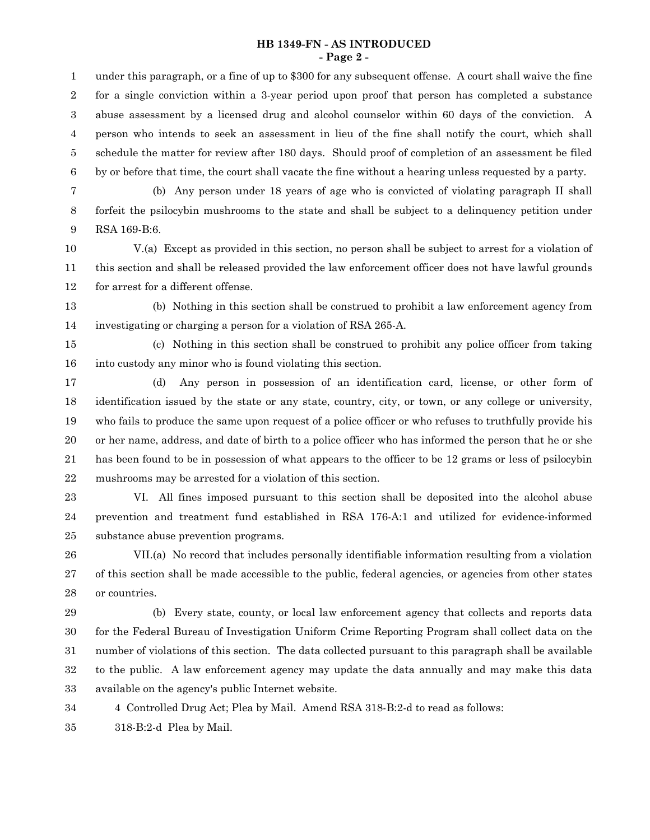#### **HB 1349-FN - AS INTRODUCED - Page 2 -**

under this paragraph, or a fine of up to \$300 for any subsequent offense. A court shall waive the fine for a single conviction within a 3-year period upon proof that person has completed a substance abuse assessment by a licensed drug and alcohol counselor within 60 days of the conviction. A person who intends to seek an assessment in lieu of the fine shall notify the court, which shall schedule the matter for review after 180 days. Should proof of completion of an assessment be filed by or before that time, the court shall vacate the fine without a hearing unless requested by a party. (b) Any person under 18 years of age who is convicted of violating paragraph II shall forfeit the psilocybin mushrooms to the state and shall be subject to a delinquency petition under RSA 169-B:6. V.(a) Except as provided in this section, no person shall be subject to arrest for a violation of this section and shall be released provided the law enforcement officer does not have lawful grounds for arrest for a different offense. (b) Nothing in this section shall be construed to prohibit a law enforcement agency from investigating or charging a person for a violation of RSA 265-A. (c) Nothing in this section shall be construed to prohibit any police officer from taking into custody any minor who is found violating this section. (d) Any person in possession of an identification card, license, or other form of identification issued by the state or any state, country, city, or town, or any college or university, who fails to produce the same upon request of a police officer or who refuses to truthfully provide his or her name, address, and date of birth to a police officer who has informed the person that he or she has been found to be in possession of what appears to the officer to be 12 grams or less of psilocybin mushrooms may be arrested for a violation of this section. VI. All fines imposed pursuant to this section shall be deposited into the alcohol abuse prevention and treatment fund established in RSA 176-A:1 and utilized for evidence-informed substance abuse prevention programs. VII.(a) No record that includes personally identifiable information resulting from a violation of this section shall be made accessible to the public, federal agencies, or agencies from other states or countries. (b) Every state, county, or local law enforcement agency that collects and reports data for the Federal Bureau of Investigation Uniform Crime Reporting Program shall collect data on the number of violations of this section. The data collected pursuant to this paragraph shall be available 1 2 3 4 5 6 7 8 9 10 11 12 13 14 15 16 17 18 19 20 21 22 23 24 25 26 27 28 29 30 31

to the public. A law enforcement agency may update the data annually and may make this data available on the agency's public Internet website. 32 33

4 Controlled Drug Act; Plea by Mail. Amend RSA 318-B:2-d to read as follows: 34

318-B:2-d Plea by Mail. 35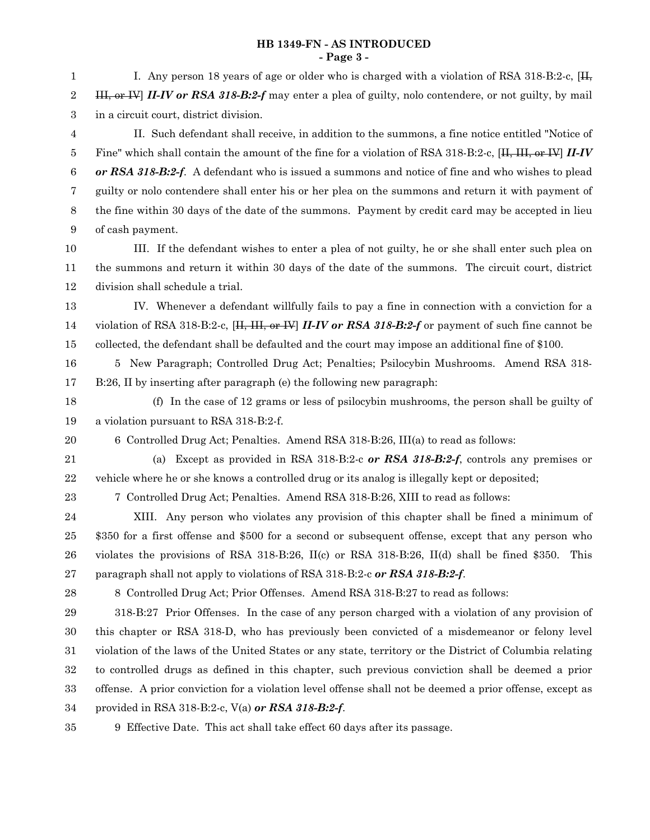### **HB 1349-FN - AS INTRODUCED - Page 3 -**

| 1              | I. Any person 18 years of age or older who is charged with a violation of RSA 318-B:2-c, $\overline{H}$ ,                        |
|----------------|----------------------------------------------------------------------------------------------------------------------------------|
| 2              | H <sub>1</sub> , or IV II-IV or RSA 318-B:2-f may enter a plea of guilty, nolo contendere, or not guilty, by mail                |
| 3              | in a circuit court, district division.                                                                                           |
| 4              | II. Such defendant shall receive, in addition to the summons, a fine notice entitled "Notice of                                  |
| 5              | Fine" which shall contain the amount of the fine for a violation of RSA 318-B:2-c, $\overline{H}$ , $\overline{H}$ , or IV II-IV |
| $\,6$          | or RSA 318-B:2-f. A defendant who is issued a summons and notice of fine and who wishes to plead                                 |
| 7              | guilty or nolo contendere shall enter his or her plea on the summons and return it with payment of                               |
| $8\phantom{1}$ | the fine within 30 days of the date of the summons. Payment by credit card may be accepted in lieu                               |
| 9              | of cash payment.                                                                                                                 |
| 10             | III. If the defendant wishes to enter a plea of not guilty, he or she shall enter such plea on                                   |
| 11             | the summons and return it within 30 days of the date of the summons. The circuit court, district                                 |
| 12             | division shall schedule a trial.                                                                                                 |
| 13             | IV. Whenever a defendant willfully fails to pay a fine in connection with a conviction for a                                     |
| 14             | violation of RSA 318-B:2-c, $\overline{[H, HI, or IV]}$ <i>II-IV or RSA 318-B:2-f</i> or payment of such fine cannot be          |
| $15\,$         | collected, the defendant shall be defaulted and the court may impose an additional fine of \$100.                                |
| 16             | New Paragraph; Controlled Drug Act; Penalties; Psilocybin Mushrooms. Amend RSA 318-<br>5                                         |
| 17             | B:26, II by inserting after paragraph (e) the following new paragraph:                                                           |
| 18             | (f) In the case of 12 grams or less of psilocybin mushrooms, the person shall be guilty of                                       |
| 19             | a violation pursuant to RSA 318-B:2-f.                                                                                           |
| 20             | 6 Controlled Drug Act; Penalties. Amend RSA 318-B:26, III(a) to read as follows:                                                 |
| 21             | (a) Except as provided in RSA 318-B:2-c or RSA 318-B:2-f, controls any premises or                                               |
| 22             | vehicle where he or she knows a controlled drug or its analog is illegally kept or deposited;                                    |
| 23             | 7 Controlled Drug Act; Penalties. Amend RSA 318-B:26, XIII to read as follows:                                                   |
| 24             | XIII. Any person who violates any provision of this chapter shall be fined a minimum of                                          |
| 25             | \$350 for a first offense and \$500 for a second or subsequent offense, except that any person who                               |
| 26             | violates the provisions of RSA 318-B:26, $II(c)$ or RSA 318-B:26, $II(d)$ shall be fined \$350.<br>This                          |
| 27             | paragraph shall not apply to violations of RSA 318-B:2-c or RSA 318-B:2-f.                                                       |
| 28             | 8 Controlled Drug Act; Prior Offenses. Amend RSA 318-B:27 to read as follows:                                                    |
| 29             | 318-B:27 Prior Offenses. In the case of any person charged with a violation of any provision of                                  |
| 30             | this chapter or RSA 318-D, who has previously been convicted of a misdemeanor or felony level                                    |
| $31\,$         | violation of the laws of the United States or any state, territory or the District of Columbia relating                          |
| 32             | to controlled drugs as defined in this chapter, such previous conviction shall be deemed a prior                                 |
| 33             | offense. A prior conviction for a violation level offense shall not be deemed a prior offense, except as                         |
| 34             | provided in RSA 318-B:2-c, $V(a)$ or RSA 318-B:2-f.                                                                              |
| $35\,$         | 9 Effective Date. This act shall take effect 60 days after its passage.                                                          |
|                |                                                                                                                                  |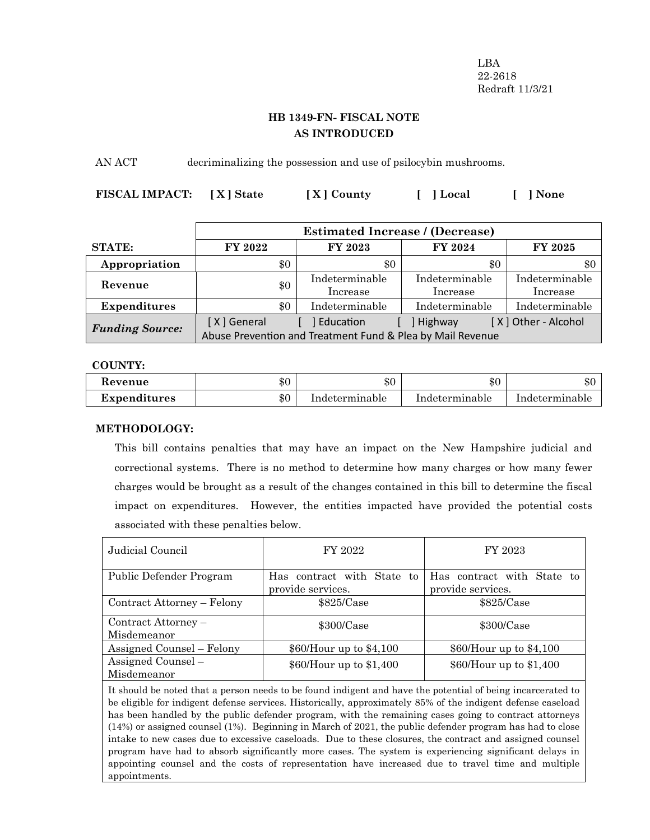LBA 22-2618 Redraft 11/3/21

# **HB 1349-FN- FISCAL NOTE AS INTRODUCED**

AN ACT decriminalizing the possession and use of psilocybin mushrooms.

| FISCAL IMPACT: [X] State | [X] County | [ ] Local | [ ] None |
|--------------------------|------------|-----------|----------|
|                          |            |           |          |

|                        | <b>Estimated Increase / (Decrease)</b>                                                              |                            |                            |                            |
|------------------------|-----------------------------------------------------------------------------------------------------|----------------------------|----------------------------|----------------------------|
| <b>STATE:</b>          | FY 2022                                                                                             | FY 2023                    | FY 2024                    | FY 2025                    |
| Appropriation          | \$0                                                                                                 | \$0                        | \$0                        | \$0                        |
| Revenue                | \$0                                                                                                 | Indeterminable<br>Increase | Indeterminable<br>Increase | Indeterminable<br>Increase |
| <b>Expenditures</b>    | \$0                                                                                                 | Indeterminable             | Indeterminable             | Indeterminable             |
| <b>Funding Source:</b> | ] Education<br>Highway<br>[X] General<br>Abuse Prevention and Treatment Fund & Plea by Mail Revenue |                            | [X] Other - Alcohol        |                            |

## **COUNTY:**

| Revenue      | \$0 | \$0            | ው ሰ<br>ক্য     | ሰሰ<br>-চা      |
|--------------|-----|----------------|----------------|----------------|
| Expenditures | \$0 | Indeterminable | Indeterminable | Indeterminable |

## **METHODOLOGY:**

This bill contains penalties that may have an impact on the New Hampshire judicial and correctional systems. There is no method to determine how many charges or how many fewer charges would be brought as a result of the changes contained in this bill to determine the fiscal impact on expenditures. However, the entities impacted have provided the potential costs associated with these penalties below.

| Judicial Council                   | FY 2022                                         | FY 2023                                         |  |
|------------------------------------|-------------------------------------------------|-------------------------------------------------|--|
| Public Defender Program            | Has contract with State to<br>provide services. | Has contract with State to<br>provide services. |  |
| Contract Attorney – Felony         | \$825/Case                                      | \$825/Case                                      |  |
| Contract Attorney -<br>Misdemeanor | $$300/C$ ase                                    | $$300/C$ ase                                    |  |
| Assigned Counsel – Felony          | \$60/Hour up to \$4,100                         | \$60/Hour up to \$4,100                         |  |
| Assigned Counsel -<br>Misdemeanor  | \$60/Hour up to \$1,400                         | \$60/Hour up to \$1,400                         |  |

It should be noted that a person needs to be found indigent and have the potential of being incarcerated to be eligible for indigent defense services. Historically, approximately 85% of the indigent defense caseload has been handled by the public defender program, with the remaining cases going to contract attorneys (14%) or assigned counsel (1%). Beginning in March of 2021, the public defender program has had to close intake to new cases due to excessive caseloads. Due to these closures, the contract and assigned counsel program have had to absorb significantly more cases. The system is experiencing significant delays in appointing counsel and the costs of representation have increased due to travel time and multiple appointments.